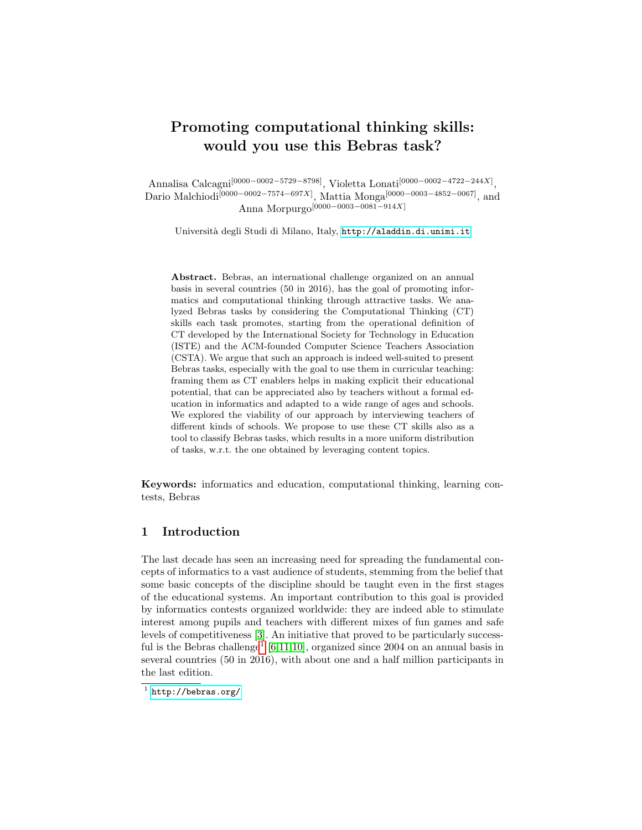# Promoting computational thinking skills: would you use this Bebras task?

Annalisa Calcagni[0000−0002−5729−8798], Violetta Lonati[0000−0002−4722−244X] , Dario Malchiodi<sup>[0000–0002–7574–697X]</sup>, Mattia Monga<sup>[0000–0003–4852–0067]</sup>, and Anna Morpurgo[0000−0003−0081−914X]

Università degli Studi di Milano, Italy, <http://aladdin.di.unimi.it>

Abstract. Bebras, an international challenge organized on an annual basis in several countries (50 in 2016), has the goal of promoting informatics and computational thinking through attractive tasks. We analyzed Bebras tasks by considering the Computational Thinking (CT) skills each task promotes, starting from the operational definition of CT developed by the International Society for Technology in Education (ISTE) and the ACM-founded Computer Science Teachers Association (CSTA). We argue that such an approach is indeed well-suited to present Bebras tasks, especially with the goal to use them in curricular teaching: framing them as CT enablers helps in making explicit their educational potential, that can be appreciated also by teachers without a formal education in informatics and adapted to a wide range of ages and schools. We explored the viability of our approach by interviewing teachers of different kinds of schools. We propose to use these CT skills also as a tool to classify Bebras tasks, which results in a more uniform distribution of tasks, w.r.t. the one obtained by leveraging content topics.

Keywords: informatics and education, computational thinking, learning contests, Bebras

## 1 Introduction

The last decade has seen an increasing need for spreading the fundamental concepts of informatics to a vast audience of students, stemming from the belief that some basic concepts of the discipline should be taught even in the first stages of the educational systems. An important contribution to this goal is provided by informatics contests organized worldwide: they are indeed able to stimulate interest among pupils and teachers with different mixes of fun games and safe levels of competitiveness [\[3\]](#page-11-0). An initiative that proved to be particularly success-ful is the Bebras challenge<sup>[1](#page-0-0)</sup> [\[6](#page-11-1)[,11,](#page-11-2)[10\]](#page-11-3), organized since 2004 on an annual basis in several countries (50 in 2016), with about one and a half million participants in the last edition.

<span id="page-0-0"></span> $^{\rm 1}$  <http://bebras.org/>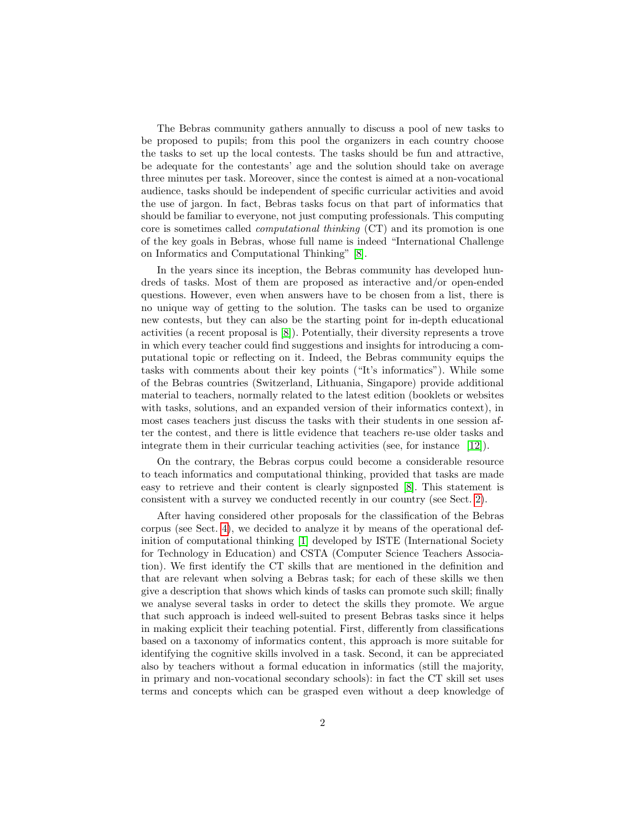The Bebras community gathers annually to discuss a pool of new tasks to be proposed to pupils; from this pool the organizers in each country choose the tasks to set up the local contests. The tasks should be fun and attractive, be adequate for the contestants' age and the solution should take on average three minutes per task. Moreover, since the contest is aimed at a non-vocational audience, tasks should be independent of specific curricular activities and avoid the use of jargon. In fact, Bebras tasks focus on that part of informatics that should be familiar to everyone, not just computing professionals. This computing core is sometimes called computational thinking (CT) and its promotion is one of the key goals in Bebras, whose full name is indeed "International Challenge on Informatics and Computational Thinking" [\[8\]](#page-11-4).

In the years since its inception, the Bebras community has developed hundreds of tasks. Most of them are proposed as interactive and/or open-ended questions. However, even when answers have to be chosen from a list, there is no unique way of getting to the solution. The tasks can be used to organize new contests, but they can also be the starting point for in-depth educational activities (a recent proposal is [\[8\]](#page-11-4)). Potentially, their diversity represents a trove in which every teacher could find suggestions and insights for introducing a computational topic or reflecting on it. Indeed, the Bebras community equips the tasks with comments about their key points ("It's informatics"). While some of the Bebras countries (Switzerland, Lithuania, Singapore) provide additional material to teachers, normally related to the latest edition (booklets or websites with tasks, solutions, and an expanded version of their informatics context), in most cases teachers just discuss the tasks with their students in one session after the contest, and there is little evidence that teachers re-use older tasks and integrate them in their curricular teaching activities (see, for instance [\[12\]](#page-11-5)).

On the contrary, the Bebras corpus could become a considerable resource to teach informatics and computational thinking, provided that tasks are made easy to retrieve and their content is clearly signposted [\[8\]](#page-11-4). This statement is consistent with a survey we conducted recently in our country (see Sect. [2\)](#page-2-0).

After having considered other proposals for the classification of the Bebras corpus (see Sect. [4\)](#page-9-0), we decided to analyze it by means of the operational definition of computational thinking [\[1\]](#page-11-6) developed by ISTE (International Society for Technology in Education) and CSTA (Computer Science Teachers Association). We first identify the CT skills that are mentioned in the definition and that are relevant when solving a Bebras task; for each of these skills we then give a description that shows which kinds of tasks can promote such skill; finally we analyse several tasks in order to detect the skills they promote. We argue that such approach is indeed well-suited to present Bebras tasks since it helps in making explicit their teaching potential. First, differently from classifications based on a taxonomy of informatics content, this approach is more suitable for identifying the cognitive skills involved in a task. Second, it can be appreciated also by teachers without a formal education in informatics (still the majority, in primary and non-vocational secondary schools): in fact the CT skill set uses terms and concepts which can be grasped even without a deep knowledge of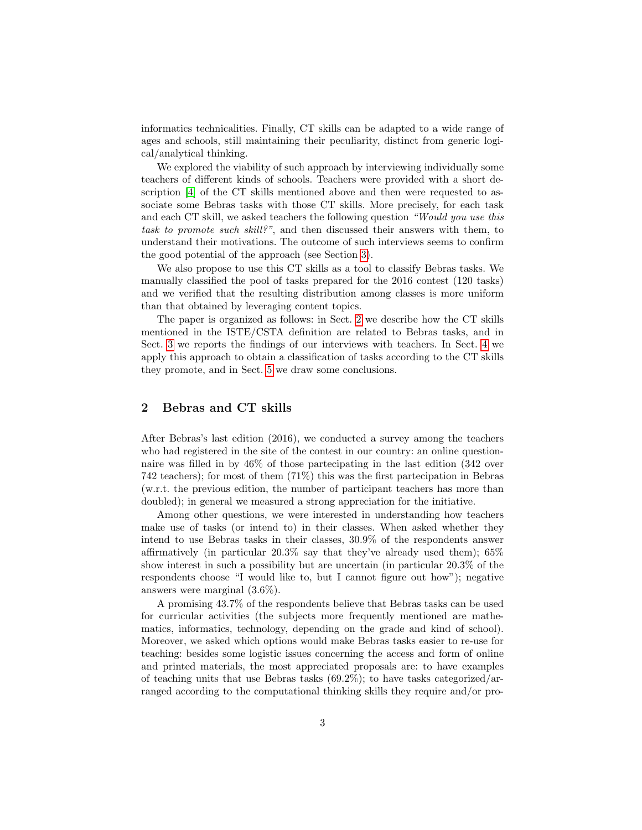informatics technicalities. Finally, CT skills can be adapted to a wide range of ages and schools, still maintaining their peculiarity, distinct from generic logical/analytical thinking.

We explored the viability of such approach by interviewing individually some teachers of different kinds of schools. Teachers were provided with a short description [\[4\]](#page-11-7) of the CT skills mentioned above and then were requested to associate some Bebras tasks with those CT skills. More precisely, for each task and each CT skill, we asked teachers the following question "Would you use this task to promote such skill?", and then discussed their answers with them, to understand their motivations. The outcome of such interviews seems to confirm the good potential of the approach (see Section [3\)](#page-7-0).

We also propose to use this CT skills as a tool to classify Bebras tasks. We manually classified the pool of tasks prepared for the 2016 contest (120 tasks) and we verified that the resulting distribution among classes is more uniform than that obtained by leveraging content topics.

The paper is organized as follows: in Sect. [2](#page-2-0) we describe how the CT skills mentioned in the ISTE/CSTA definition are related to Bebras tasks, and in Sect. [3](#page-7-0) we reports the findings of our interviews with teachers. In Sect. [4](#page-9-0) we apply this approach to obtain a classification of tasks according to the CT skills they promote, and in Sect. [5](#page-9-1) we draw some conclusions.

## <span id="page-2-0"></span>2 Bebras and CT skills

After Bebras's last edition (2016), we conducted a survey among the teachers who had registered in the site of the contest in our country: an online questionnaire was filled in by 46% of those partecipating in the last edition (342 over 742 teachers); for most of them (71%) this was the first partecipation in Bebras (w.r.t. the previous edition, the number of participant teachers has more than doubled); in general we measured a strong appreciation for the initiative.

Among other questions, we were interested in understanding how teachers make use of tasks (or intend to) in their classes. When asked whether they intend to use Bebras tasks in their classes, 30.9% of the respondents answer affirmatively (in particular 20.3% say that they've already used them); 65% show interest in such a possibility but are uncertain (in particular 20.3% of the respondents choose "I would like to, but I cannot figure out how"); negative answers were marginal (3.6%).

A promising 43.7% of the respondents believe that Bebras tasks can be used for curricular activities (the subjects more frequently mentioned are mathematics, informatics, technology, depending on the grade and kind of school). Moreover, we asked which options would make Bebras tasks easier to re-use for teaching: besides some logistic issues concerning the access and form of online and printed materials, the most appreciated proposals are: to have examples of teaching units that use Bebras tasks  $(69.2\%)$ ; to have tasks categorized/arranged according to the computational thinking skills they require and/or pro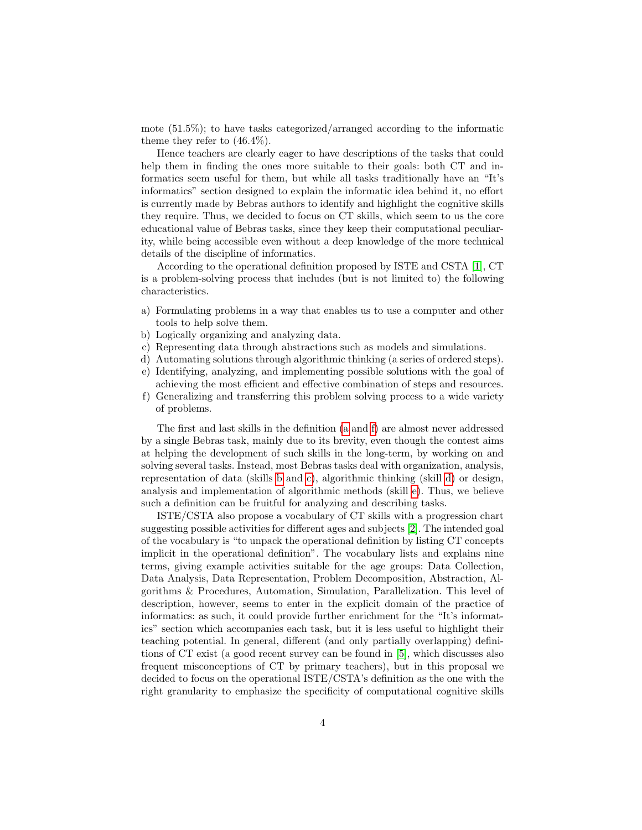mote (51.5%); to have tasks categorized/arranged according to the informatic theme they refer to  $(46.4\%)$ .

Hence teachers are clearly eager to have descriptions of the tasks that could help them in finding the ones more suitable to their goals: both CT and informatics seem useful for them, but while all tasks traditionally have an "It's informatics" section designed to explain the informatic idea behind it, no effort is currently made by Bebras authors to identify and highlight the cognitive skills they require. Thus, we decided to focus on CT skills, which seem to us the core educational value of Bebras tasks, since they keep their computational peculiarity, while being accessible even without a deep knowledge of the more technical details of the discipline of informatics.

According to the operational definition proposed by ISTE and CSTA [\[1\]](#page-11-6), CT is a problem-solving process that includes (but is not limited to) the following characteristics.

- <span id="page-3-0"></span>a) Formulating problems in a way that enables us to use a computer and other tools to help solve them.
- <span id="page-3-2"></span>b) Logically organizing and analyzing data.
- <span id="page-3-3"></span>c) Representing data through abstractions such as models and simulations.
- <span id="page-3-4"></span>d) Automating solutions through algorithmic thinking (a series of ordered steps).
- <span id="page-3-5"></span>e) Identifying, analyzing, and implementing possible solutions with the goal of achieving the most efficient and effective combination of steps and resources.
- <span id="page-3-1"></span>f) Generalizing and transferring this problem solving process to a wide variety of problems.

The first and last skills in the definition [\(a](#page-3-0) and [f\)](#page-3-1) are almost never addressed by a single Bebras task, mainly due to its brevity, even though the contest aims at helping the development of such skills in the long-term, by working on and solving several tasks. Instead, most Bebras tasks deal with organization, analysis, representation of data (skills [b](#page-3-2) and [c\)](#page-3-3), algorithmic thinking (skill [d\)](#page-3-4) or design, analysis and implementation of algorithmic methods (skill [e\)](#page-3-5). Thus, we believe such a definition can be fruitful for analyzing and describing tasks.

ISTE/CSTA also propose a vocabulary of CT skills with a progression chart suggesting possible activities for different ages and subjects [\[2\]](#page-11-8). The intended goal of the vocabulary is "to unpack the operational definition by listing CT concepts implicit in the operational definition". The vocabulary lists and explains nine terms, giving example activities suitable for the age groups: Data Collection, Data Analysis, Data Representation, Problem Decomposition, Abstraction, Algorithms & Procedures, Automation, Simulation, Parallelization. This level of description, however, seems to enter in the explicit domain of the practice of informatics: as such, it could provide further enrichment for the "It's informatics" section which accompanies each task, but it is less useful to highlight their teaching potential. In general, different (and only partially overlapping) definitions of CT exist (a good recent survey can be found in [\[5\]](#page-11-9), which discusses also frequent misconceptions of CT by primary teachers), but in this proposal we decided to focus on the operational ISTE/CSTA's definition as the one with the right granularity to emphasize the specificity of computational cognitive skills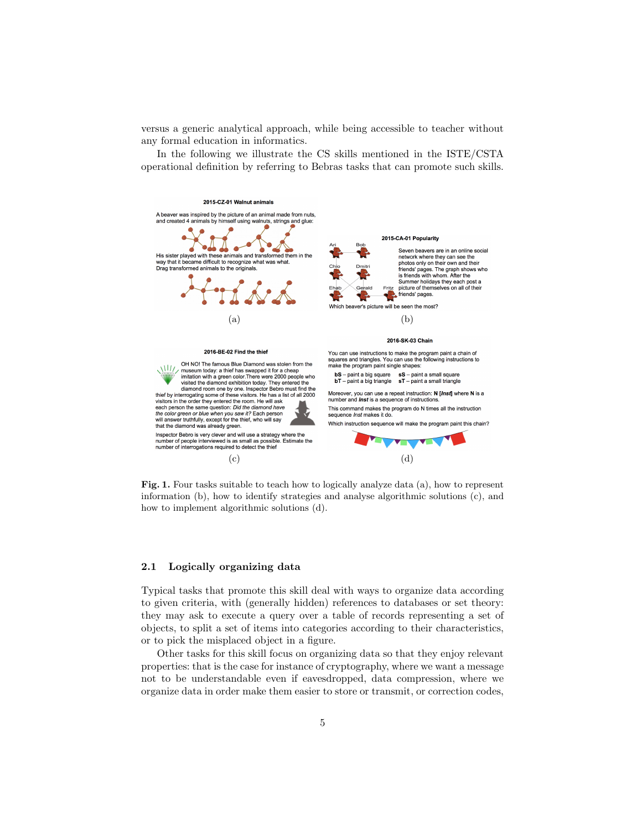versus a generic analytical approach, while being accessible to teacher without any formal education in informatics.

In the following we illustrate the CS skills mentioned in the ISTE/CSTA operational definition by referring to Bebras tasks that can promote such skills.

<span id="page-4-2"></span><span id="page-4-1"></span><span id="page-4-0"></span>

<span id="page-4-3"></span>Fig. 1. Four tasks suitable to teach how to logically analyze data (a), how to represent information (b), how to identify strategies and analyse algorithmic solutions (c), and how to implement algorithmic solutions (d).

#### 2.1 Logically organizing data

Typical tasks that promote this skill deal with ways to organize data according to given criteria, with (generally hidden) references to databases or set theory: they may ask to execute a query over a table of records representing a set of objects, to split a set of items into categories according to their characteristics, or to pick the misplaced object in a figure.

Other tasks for this skill focus on organizing data so that they enjoy relevant properties: that is the case for instance of cryptography, where we want a message not to be understandable even if eavesdropped, data compression, where we organize data in order make them easier to store or transmit, or correction codes,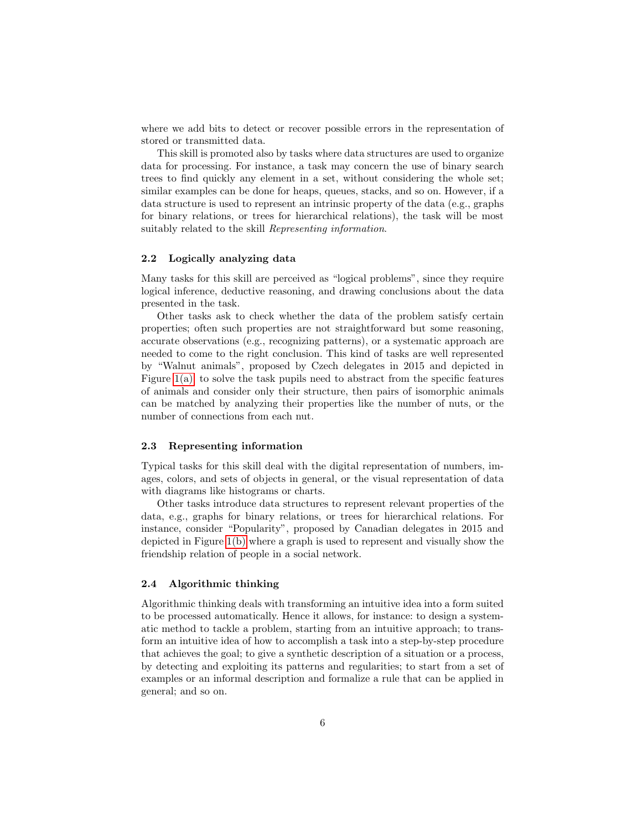where we add bits to detect or recover possible errors in the representation of stored or transmitted data.

This skill is promoted also by tasks where data structures are used to organize data for processing. For instance, a task may concern the use of binary search trees to find quickly any element in a set, without considering the whole set; similar examples can be done for heaps, queues, stacks, and so on. However, if a data structure is used to represent an intrinsic property of the data (e.g., graphs for binary relations, or trees for hierarchical relations), the task will be most suitably related to the skill Representing information.

## 2.2 Logically analyzing data

Many tasks for this skill are perceived as "logical problems", since they require logical inference, deductive reasoning, and drawing conclusions about the data presented in the task.

Other tasks ask to check whether the data of the problem satisfy certain properties; often such properties are not straightforward but some reasoning, accurate observations (e.g., recognizing patterns), or a systematic approach are needed to come to the right conclusion. This kind of tasks are well represented by "Walnut animals", proposed by Czech delegates in 2015 and depicted in Figure  $1(a)$ : to solve the task pupils need to abstract from the specific features of animals and consider only their structure, then pairs of isomorphic animals can be matched by analyzing their properties like the number of nuts, or the number of connections from each nut.

#### 2.3 Representing information

Typical tasks for this skill deal with the digital representation of numbers, images, colors, and sets of objects in general, or the visual representation of data with diagrams like histograms or charts.

Other tasks introduce data structures to represent relevant properties of the data, e.g., graphs for binary relations, or trees for hierarchical relations. For instance, consider "Popularity", proposed by Canadian delegates in 2015 and depicted in Figure [1\(b\)](#page-4-1) where a graph is used to represent and visually show the friendship relation of people in a social network.

### 2.4 Algorithmic thinking

Algorithmic thinking deals with transforming an intuitive idea into a form suited to be processed automatically. Hence it allows, for instance: to design a systematic method to tackle a problem, starting from an intuitive approach; to transform an intuitive idea of how to accomplish a task into a step-by-step procedure that achieves the goal; to give a synthetic description of a situation or a process, by detecting and exploiting its patterns and regularities; to start from a set of examples or an informal description and formalize a rule that can be applied in general; and so on.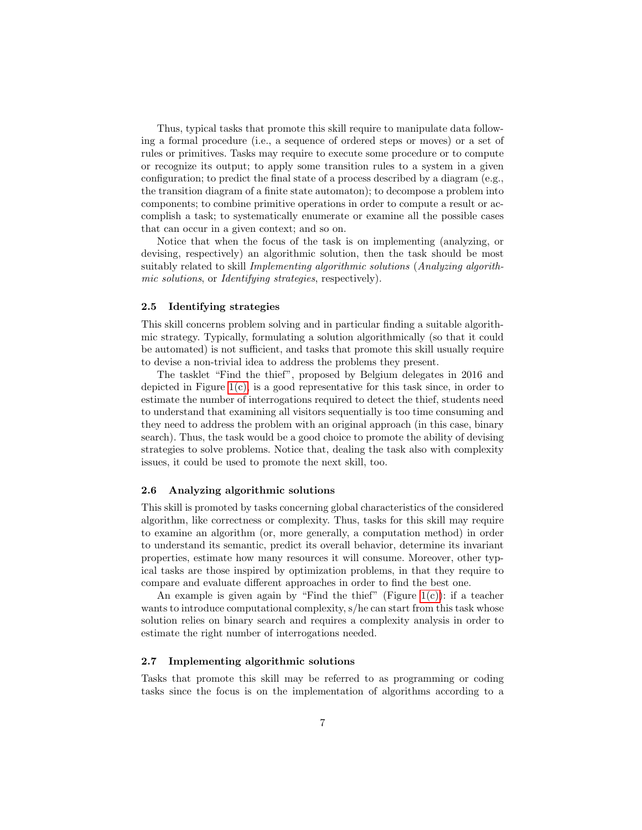Thus, typical tasks that promote this skill require to manipulate data following a formal procedure (i.e., a sequence of ordered steps or moves) or a set of rules or primitives. Tasks may require to execute some procedure or to compute or recognize its output; to apply some transition rules to a system in a given configuration; to predict the final state of a process described by a diagram (e.g., the transition diagram of a finite state automaton); to decompose a problem into components; to combine primitive operations in order to compute a result or accomplish a task; to systematically enumerate or examine all the possible cases that can occur in a given context; and so on.

Notice that when the focus of the task is on implementing (analyzing, or devising, respectively) an algorithmic solution, then the task should be most suitably related to skill Implementing algorithmic solutions (Analyzing algorithmic solutions, or Identifying strategies, respectively).

### 2.5 Identifying strategies

This skill concerns problem solving and in particular finding a suitable algorithmic strategy. Typically, formulating a solution algorithmically (so that it could be automated) is not sufficient, and tasks that promote this skill usually require to devise a non-trivial idea to address the problems they present.

The tasklet "Find the thief", proposed by Belgium delegates in 2016 and depicted in Figure  $1(c)$ , is a good representative for this task since, in order to estimate the number of interrogations required to detect the thief, students need to understand that examining all visitors sequentially is too time consuming and they need to address the problem with an original approach (in this case, binary search). Thus, the task would be a good choice to promote the ability of devising strategies to solve problems. Notice that, dealing the task also with complexity issues, it could be used to promote the next skill, too.

## 2.6 Analyzing algorithmic solutions

This skill is promoted by tasks concerning global characteristics of the considered algorithm, like correctness or complexity. Thus, tasks for this skill may require to examine an algorithm (or, more generally, a computation method) in order to understand its semantic, predict its overall behavior, determine its invariant properties, estimate how many resources it will consume. Moreover, other typical tasks are those inspired by optimization problems, in that they require to compare and evaluate different approaches in order to find the best one.

An example is given again by "Find the thief" (Figure  $1(c)$ ): if a teacher wants to introduce computational complexity, s/he can start from this task whose solution relies on binary search and requires a complexity analysis in order to estimate the right number of interrogations needed.

### 2.7 Implementing algorithmic solutions

Tasks that promote this skill may be referred to as programming or coding tasks since the focus is on the implementation of algorithms according to a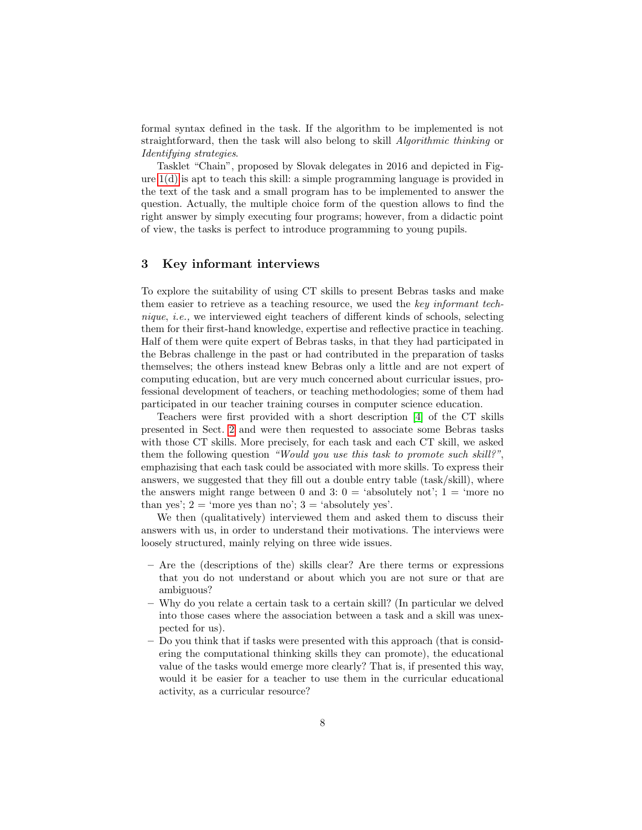formal syntax defined in the task. If the algorithm to be implemented is not straightforward, then the task will also belong to skill Algorithmic thinking or Identifying strategies.

Tasklet "Chain", proposed by Slovak delegates in 2016 and depicted in Figure [1\(d\)](#page-4-3) is apt to teach this skill: a simple programming language is provided in the text of the task and a small program has to be implemented to answer the question. Actually, the multiple choice form of the question allows to find the right answer by simply executing four programs; however, from a didactic point of view, the tasks is perfect to introduce programming to young pupils.

## <span id="page-7-0"></span>3 Key informant interviews

To explore the suitability of using CT skills to present Bebras tasks and make them easier to retrieve as a teaching resource, we used the key informant technique, i.e., we interviewed eight teachers of different kinds of schools, selecting them for their first-hand knowledge, expertise and reflective practice in teaching. Half of them were quite expert of Bebras tasks, in that they had participated in the Bebras challenge in the past or had contributed in the preparation of tasks themselves; the others instead knew Bebras only a little and are not expert of computing education, but are very much concerned about curricular issues, professional development of teachers, or teaching methodologies; some of them had participated in our teacher training courses in computer science education.

Teachers were first provided with a short description [\[4\]](#page-11-7) of the CT skills presented in Sect. [2](#page-2-0) and were then requested to associate some Bebras tasks with those CT skills. More precisely, for each task and each CT skill, we asked them the following question "Would you use this task to promote such skill?", emphazising that each task could be associated with more skills. To express their answers, we suggested that they fill out a double entry table (task/skill), where the answers might range between 0 and 3:  $0 = 'absolutely not'; 1 = 'more no$ than yes';  $2 = \text{`more yes than no'}$ ;  $3 = \text{`absolutely yes'}.$ 

We then (qualitatively) interviewed them and asked them to discuss their answers with us, in order to understand their motivations. The interviews were loosely structured, mainly relying on three wide issues.

- Are the (descriptions of the) skills clear? Are there terms or expressions that you do not understand or about which you are not sure or that are ambiguous?
- Why do you relate a certain task to a certain skill? (In particular we delved into those cases where the association between a task and a skill was unexpected for us).
- Do you think that if tasks were presented with this approach (that is considering the computational thinking skills they can promote), the educational value of the tasks would emerge more clearly? That is, if presented this way, would it be easier for a teacher to use them in the curricular educational activity, as a curricular resource?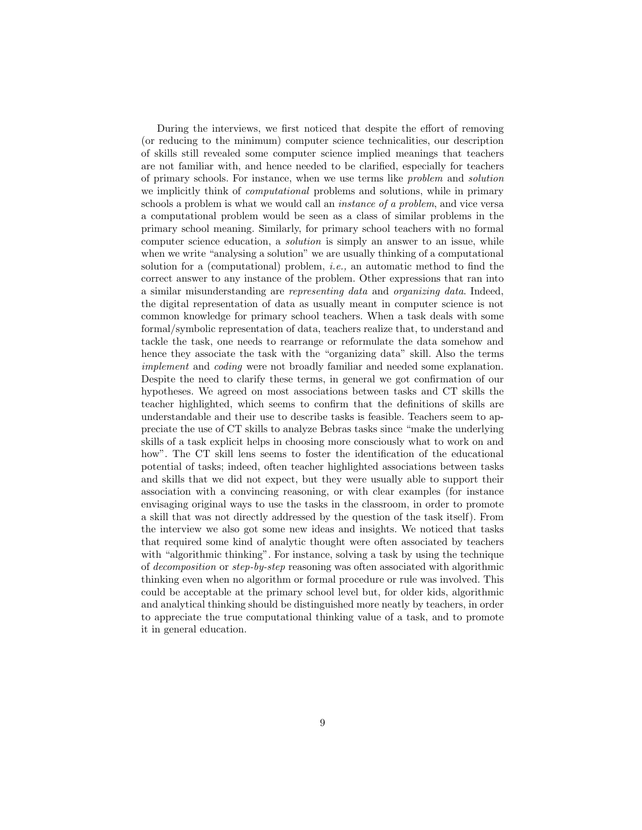During the interviews, we first noticed that despite the effort of removing (or reducing to the minimum) computer science technicalities, our description of skills still revealed some computer science implied meanings that teachers are not familiar with, and hence needed to be clarified, especially for teachers of primary schools. For instance, when we use terms like problem and solution we implicitly think of computational problems and solutions, while in primary schools a problem is what we would call an instance of a problem, and vice versa a computational problem would be seen as a class of similar problems in the primary school meaning. Similarly, for primary school teachers with no formal computer science education, a solution is simply an answer to an issue, while when we write "analysing a solution" we are usually thinking of a computational solution for a (computational) problem, i.e., an automatic method to find the correct answer to any instance of the problem. Other expressions that ran into a similar misunderstanding are representing data and organizing data. Indeed, the digital representation of data as usually meant in computer science is not common knowledge for primary school teachers. When a task deals with some formal/symbolic representation of data, teachers realize that, to understand and tackle the task, one needs to rearrange or reformulate the data somehow and hence they associate the task with the "organizing data" skill. Also the terms implement and coding were not broadly familiar and needed some explanation. Despite the need to clarify these terms, in general we got confirmation of our hypotheses. We agreed on most associations between tasks and CT skills the teacher highlighted, which seems to confirm that the definitions of skills are understandable and their use to describe tasks is feasible. Teachers seem to appreciate the use of CT skills to analyze Bebras tasks since "make the underlying skills of a task explicit helps in choosing more consciously what to work on and how". The CT skill lens seems to foster the identification of the educational potential of tasks; indeed, often teacher highlighted associations between tasks and skills that we did not expect, but they were usually able to support their association with a convincing reasoning, or with clear examples (for instance envisaging original ways to use the tasks in the classroom, in order to promote a skill that was not directly addressed by the question of the task itself). From the interview we also got some new ideas and insights. We noticed that tasks that required some kind of analytic thought were often associated by teachers with "algorithmic thinking". For instance, solving a task by using the technique of decomposition or step-by-step reasoning was often associated with algorithmic thinking even when no algorithm or formal procedure or rule was involved. This could be acceptable at the primary school level but, for older kids, algorithmic and analytical thinking should be distinguished more neatly by teachers, in order to appreciate the true computational thinking value of a task, and to promote it in general education.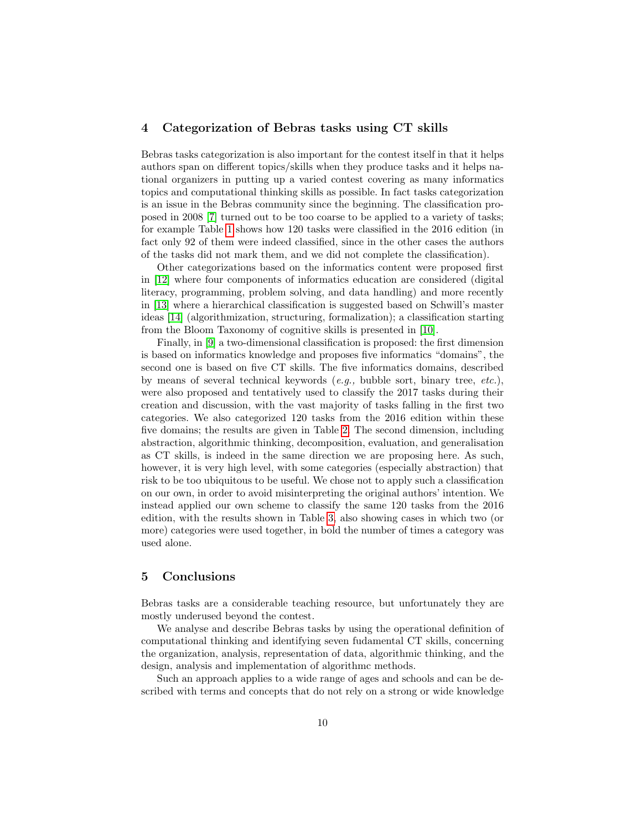# <span id="page-9-0"></span>4 Categorization of Bebras tasks using CT skills

Bebras tasks categorization is also important for the contest itself in that it helps authors span on different topics/skills when they produce tasks and it helps national organizers in putting up a varied contest covering as many informatics topics and computational thinking skills as possible. In fact tasks categorization is an issue in the Bebras community since the beginning. The classification proposed in 2008 [\[7\]](#page-11-10) turned out to be too coarse to be applied to a variety of tasks; for example Table [1](#page-10-0) shows how 120 tasks were classified in the 2016 edition (in fact only 92 of them were indeed classified, since in the other cases the authors of the tasks did not mark them, and we did not complete the classification).

Other categorizations based on the informatics content were proposed first in [\[12\]](#page-11-5) where four components of informatics education are considered (digital literacy, programming, problem solving, and data handling) and more recently in [\[13\]](#page-11-11) where a hierarchical classification is suggested based on Schwill's master ideas [\[14\]](#page-11-12) (algorithmization, structuring, formalization); a classification starting from the Bloom Taxonomy of cognitive skills is presented in [\[10\]](#page-11-3).

Finally, in [\[9\]](#page-11-13) a two-dimensional classification is proposed: the first dimension is based on informatics knowledge and proposes five informatics "domains", the second one is based on five CT skills. The five informatics domains, described by means of several technical keywords (e.g., bubble sort, binary tree, etc.), were also proposed and tentatively used to classify the 2017 tasks during their creation and discussion, with the vast majority of tasks falling in the first two categories. We also categorized 120 tasks from the 2016 edition within these five domains; the results are given in Table [2.](#page-10-1) The second dimension, including abstraction, algorithmic thinking, decomposition, evaluation, and generalisation as CT skills, is indeed in the same direction we are proposing here. As such, however, it is very high level, with some categories (especially abstraction) that risk to be too ubiquitous to be useful. We chose not to apply such a classification on our own, in order to avoid misinterpreting the original authors' intention. We instead applied our own scheme to classify the same 120 tasks from the 2016 edition, with the results shown in Table [3,](#page-10-2) also showing cases in which two (or more) categories were used together, in bold the number of times a category was used alone.

# <span id="page-9-1"></span>5 Conclusions

Bebras tasks are a considerable teaching resource, but unfortunately they are mostly underused beyond the contest.

We analyse and describe Bebras tasks by using the operational definition of computational thinking and identifying seven fudamental CT skills, concerning the organization, analysis, representation of data, algorithmic thinking, and the design, analysis and implementation of algorithmc methods.

Such an approach applies to a wide range of ages and schools and can be described with terms and concepts that do not rely on a strong or wide knowledge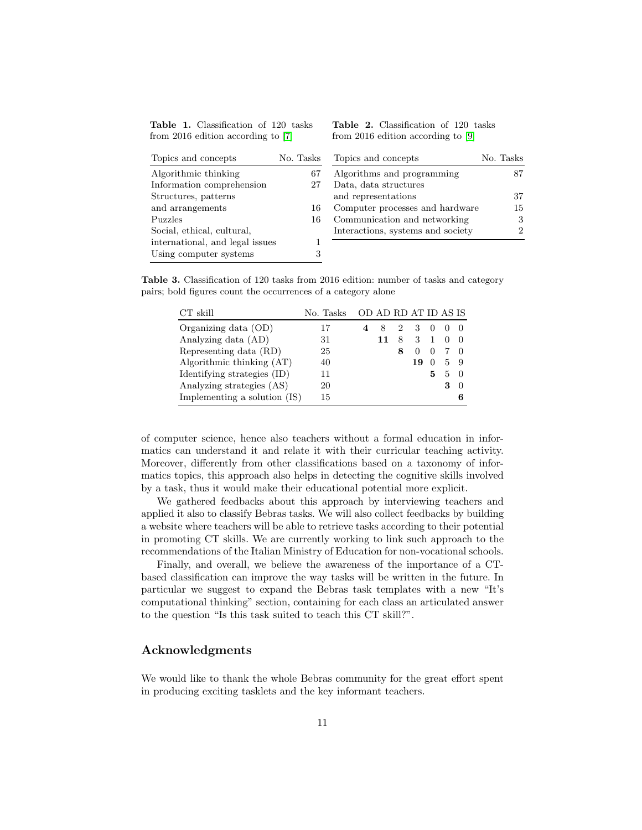<span id="page-10-0"></span>Table 1. Classification of 120 tasks from 2016 edition according to [\[7\]](#page-11-10)

<span id="page-10-1"></span>Table 2. Classification of 120 tasks from 2016 edition according to [\[9\]](#page-11-13)

| Topics and concepts             | No. Tasks | Topics and concepts               | No. Tasks                   |
|---------------------------------|-----------|-----------------------------------|-----------------------------|
| Algorithmic thinking            | 67        | Algorithms and programming        | 87                          |
| Information comprehension       | 27        | Data, data structures             |                             |
| Structures, patterns            |           | and representations               | 37                          |
| and arrangements                | 16        | Computer processes and hardware   | 15                          |
| Puzzles                         | 16        | Communication and networking      | 3                           |
| Social, ethical, cultural,      |           | Interactions, systems and society | $\mathcal{D}_{\mathcal{L}}$ |
| international, and legal issues |           |                                   |                             |
| Using computer systems          |           |                                   |                             |

Table 3. Classification of 120 tasks from 2016 edition: number of tasks and category pairs; bold figures count the occurrences of a category alone

<span id="page-10-2"></span>

| CT skill                     | No. Tasks | OD AD RD AT ID AS IS |                |    |          |   |                  |
|------------------------------|-----------|----------------------|----------------|----|----------|---|------------------|
| Organizing data $(OD)$       | 17        |                      | $\overline{2}$ | 3  | $\theta$ |   |                  |
| Analyzing data (AD)          | 31        |                      | 8              | 3  |          |   | $\bigcirc$       |
| Representing data (RD)       | 25        |                      | 8              |    | $\cup$   |   |                  |
| Algorithmic thinking (AT)    | 40        |                      |                | 19 |          | 5 | - 9              |
| Identifying strategies (ID)  | 11        |                      |                |    | 5        | 5 | - 0              |
| Analyzing strategies (AS)    | 20        |                      |                |    |          | 3 | $\left( \right)$ |
| Implementing a solution (IS) | 15        |                      |                |    |          |   | 6                |

of computer science, hence also teachers without a formal education in informatics can understand it and relate it with their curricular teaching activity. Moreover, differently from other classifications based on a taxonomy of informatics topics, this approach also helps in detecting the cognitive skills involved by a task, thus it would make their educational potential more explicit.

We gathered feedbacks about this approach by interviewing teachers and applied it also to classify Bebras tasks. We will also collect feedbacks by building a website where teachers will be able to retrieve tasks according to their potential in promoting CT skills. We are currently working to link such approach to the recommendations of the Italian Ministry of Education for non-vocational schools.

Finally, and overall, we believe the awareness of the importance of a CTbased classification can improve the way tasks will be written in the future. In particular we suggest to expand the Bebras task templates with a new "It's computational thinking" section, containing for each class an articulated answer to the question "Is this task suited to teach this CT skill?".

# Acknowledgments

We would like to thank the whole Bebras community for the great effort spent in producing exciting tasklets and the key informant teachers.